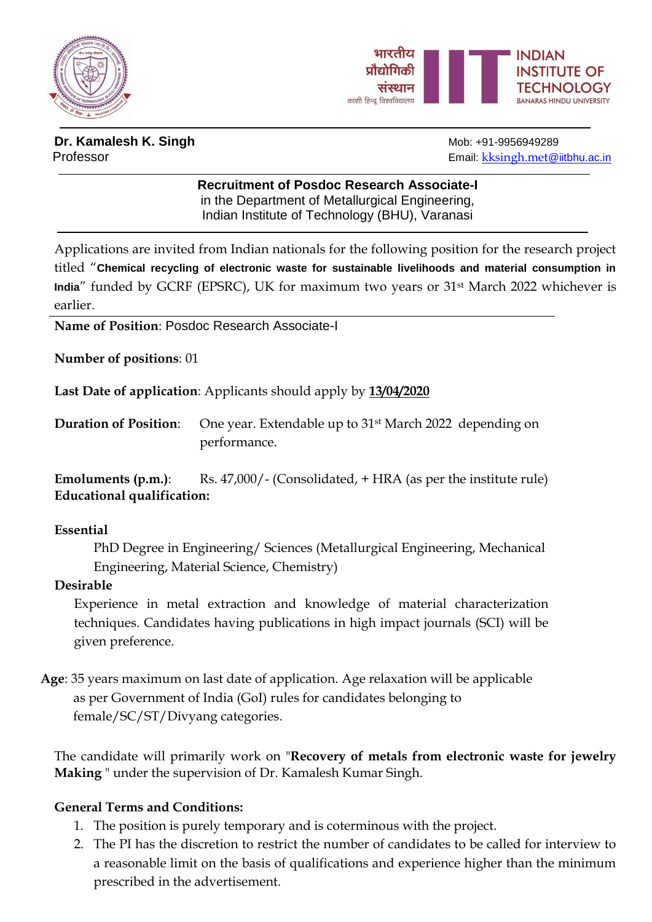



# **Dr. Kamalesh K. Singh Mob: +91-9956949289**

Professor **Email:** kesingh.met@iitbhu.ac.in

## **Recruitment of Posdoc Research Associate-I** in the Department of Metallurgical Engineering,

Indian Institute of Technology (BHU), Varanasi

Applications are invited from Indian nationals for the following position for the research project titled "**Chemical recycling of electronic waste for sustainable livelihoods and material consumption in India**" funded by GCRF (EPSRC), UK for maximum two years or 31st March 2022 whichever is earlier.

**Name of Position**: Posdoc Research Associate-I

**Number of positions**: 01

**Last Date of application**: Applicants should apply by **13/04/2020**

**Duration of Position**: One year. Extendable up to 31st March 2022 depending on performance.

**Emoluments (p.m.):** Rs. 47,000/- (Consolidated, + HRA (as per the institute rule) **Educational qualification:**

#### **Essential**

PhD Degree in Engineering/ Sciences (Metallurgical Engineering, Mechanical Engineering, Material Science, Chemistry)

#### **Desirable**

Experience in metal extraction and knowledge of material characterization techniques. Candidates having publications in high impact journals (SCI) will be given preference.

**Age**: 35 years maximum on last date of application. Age relaxation will be applicable as per Government of India (GoI) rules for candidates belonging to female/SC/ST/Divyang categories.

The candidate will primarily work on "**Recovery of metals from electronic waste for jewelry Making** " under the supervision of Dr. Kamalesh Kumar Singh.

### **General Terms and Conditions:**

- 1. The position is purely temporary and is coterminous with the project.
- 2. The PI has the discretion to restrict the number of candidates to be called for interview to a reasonable limit on the basis of qualifications and experience higher than the minimum prescribed in the advertisement.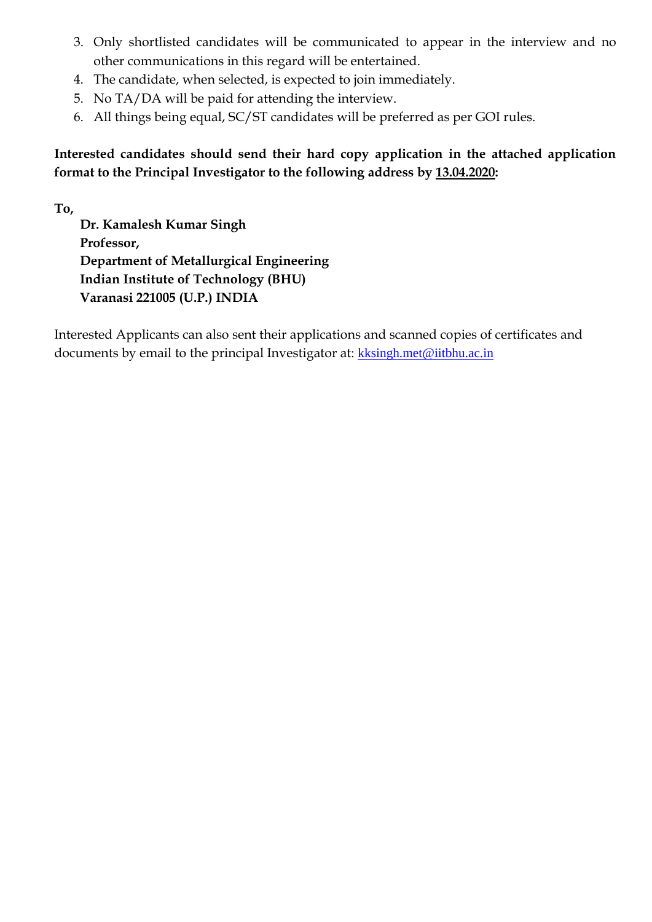- 3. Only shortlisted candidates will be communicated to appear in the interview and no other communications in this regard will be entertained.
- 4. The candidate, when selected, is expected to join immediately.
- 5. No TA/DA will be paid for attending the interview.
- 6. All things being equal, SC/ST candidates will be preferred as per GOI rules.

**Interested candidates should send their hard copy application in the attached application format to the Principal Investigator to the following address by 13.04.2020:**

**To,**

**Dr. Kamalesh Kumar Singh Professor, Department of Metallurgical Engineering Indian Institute of Technology (BHU) Varanasi 221005 (U.P.) INDIA**

Interested Applicants can also sent their applications and scanned copies of certificates and documents by email to the principal Investigator at: [kksingh.met@iitbhu.ac.in](mailto:kksingh.met@iitbhu.ac.in)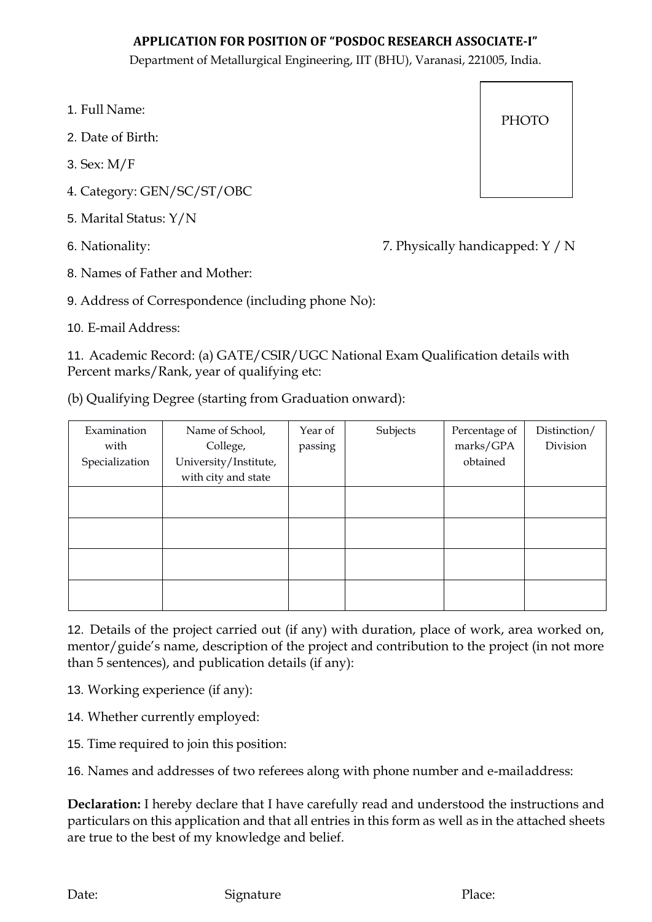#### **APPLICATION FOR POSITION OF "POSDOC RESEARCH ASSOCIATE-I"**

Department of Metallurgical Engineering, IIT (BHU), Varanasi, 221005, India.

- 1. Full Name:
- 2. Date of Birth:
- 3. Sex: M/F
- 4. Category: GEN/SC/ST/OBC
- 5. Marital Status: Y/N
- 

6. Nationality: 7. Physically handicapped: Y / N

8. Names of Father and Mother:

9. Address of Correspondence (including phone No):

10. E-mail Address:

11. Academic Record: (a) GATE/CSIR/UGC National Exam Qualification details with Percent marks/Rank, year of qualifying etc:

(b) Qualifying Degree (starting from Graduation onward):

| Examination<br>with<br>Specialization | Name of School,<br>College,<br>University/Institute,<br>with city and state | Year of<br>passing | Subjects | Percentage of<br>marks/GPA<br>obtained | Distinction/<br>Division |
|---------------------------------------|-----------------------------------------------------------------------------|--------------------|----------|----------------------------------------|--------------------------|
|                                       |                                                                             |                    |          |                                        |                          |
|                                       |                                                                             |                    |          |                                        |                          |
|                                       |                                                                             |                    |          |                                        |                          |
|                                       |                                                                             |                    |          |                                        |                          |

12. Details of the project carried out (if any) with duration, place of work, area worked on, mentor/guide's name, description of the project and contribution to the project (in not more than 5 sentences), and publication details (if any):

13. Working experience (if any):

14. Whether currently employed:

15. Time required to join this position:

16. Names and addresses of two referees along with phone number and e-mailaddress:

**Declaration:** I hereby declare that I have carefully read and understood the instructions and particulars on this application and that all entries in this form as well as in the attached sheets are true to the best of my knowledge and belief.

| PHOTO |  |
|-------|--|
|       |  |

Date: Signature Place: